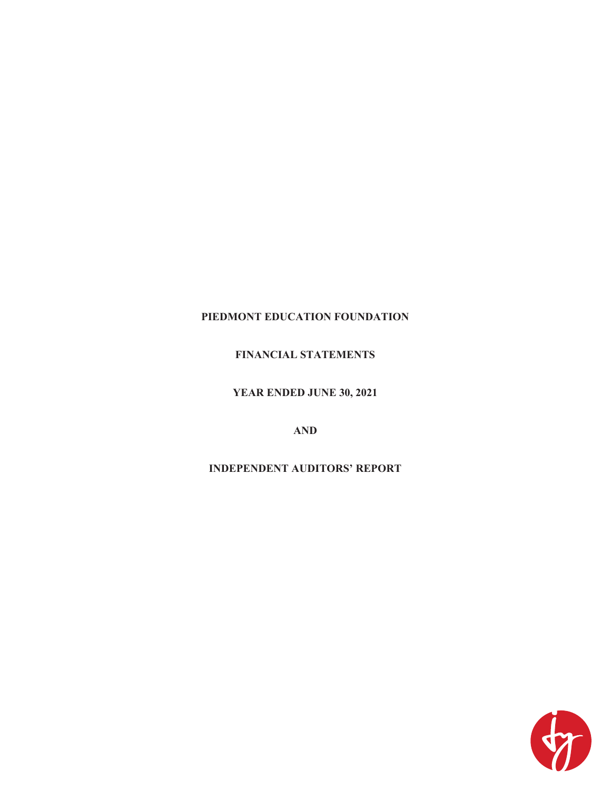# **PIEDMONT EDUCATION FOUNDATION**

# **FINANCIAL STATEMENTS**

# **YEAR ENDED JUNE 30, 2021**

**AND**

# **INDEPENDENT AUDITORS' REPORT**

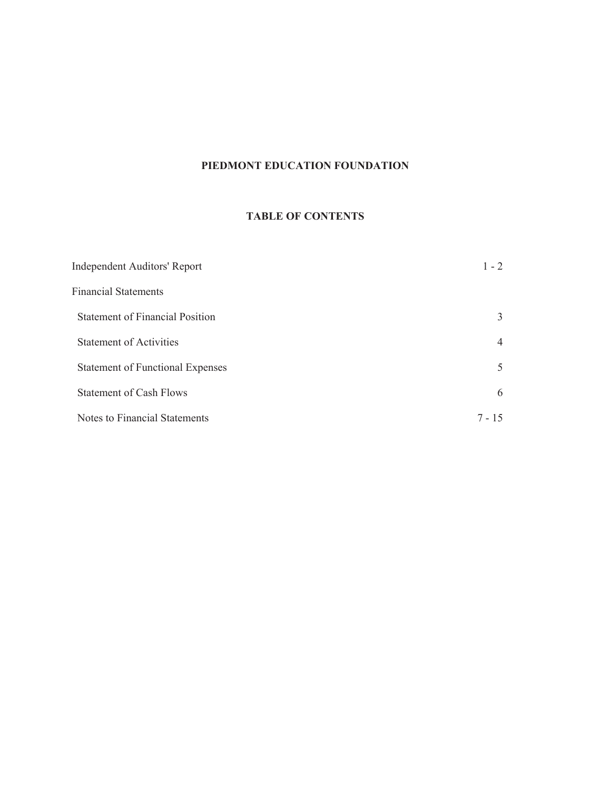## **PIEDMONT EDUCATION FOUNDATION**

# **TABLE OF CONTENTS**

| <b>Independent Auditors' Report</b>     | $1 - 2$  |
|-----------------------------------------|----------|
| <b>Financial Statements</b>             |          |
| <b>Statement of Financial Position</b>  | 3        |
| <b>Statement of Activities</b>          | 4        |
| <b>Statement of Functional Expenses</b> | 5        |
| <b>Statement of Cash Flows</b>          | 6        |
| Notes to Financial Statements           | $7 - 15$ |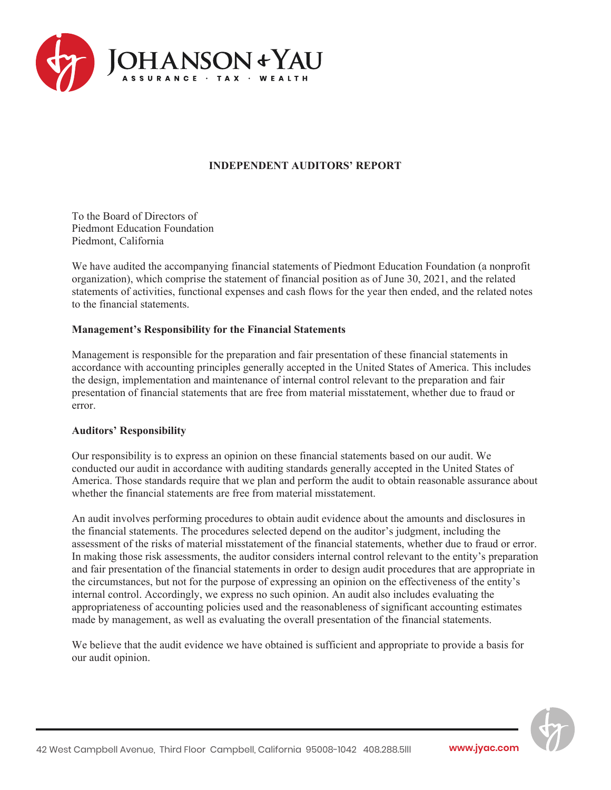

# **INDEPENDENT AUDITORS' REPORT**

To the Board of Directors of Piedmont Education Foundation Piedmont, California

We have audited the accompanying financial statements of Piedmont Education Foundation (a nonprofit organization), which comprise the statement of financial position as of June 30, 2021, and the related statements of activities, functional expenses and cash flows for the year then ended, and the related notes to the financial statements.

## **Management's Responsibility for the Financial Statements**

Management is responsible for the preparation and fair presentation of these financial statements in accordance with accounting principles generally accepted in the United States of America. This includes the design, implementation and maintenance of internal control relevant to the preparation and fair presentation of financial statements that are free from material misstatement, whether due to fraud or error.

#### **Auditors' Responsibility**

Our responsibility is to express an opinion on these financial statements based on our audit. We conducted our audit in accordance with auditing standards generally accepted in the United States of America. Those standards require that we plan and perform the audit to obtain reasonable assurance about whether the financial statements are free from material misstatement.

An audit involves performing procedures to obtain audit evidence about the amounts and disclosures in the financial statements. The procedures selected depend on the auditor's judgment, including the assessment of the risks of material misstatement of the financial statements, whether due to fraud or error. In making those risk assessments, the auditor considers internal control relevant to the entity's preparation and fair presentation of the financial statements in order to design audit procedures that are appropriate in the circumstances, but not for the purpose of expressing an opinion on the effectiveness of the entity's internal control. Accordingly, we express no such opinion. An audit also includes evaluating the appropriateness of accounting policies used and the reasonableness of significant accounting estimates made by management, as well as evaluating the overall presentation of the financial statements.

We believe that the audit evidence we have obtained is sufficient and appropriate to provide a basis for our audit opinion.

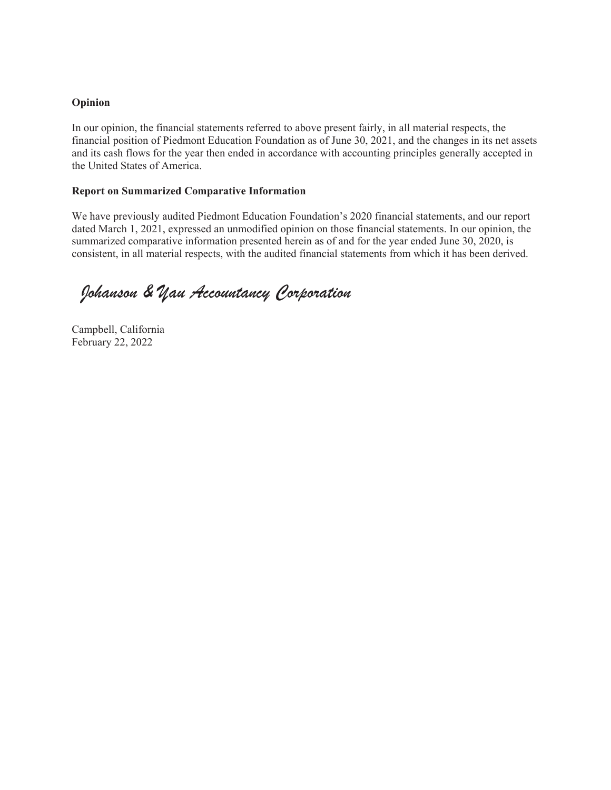#### **Opinion**

In our opinion, the financial statements referred to above present fairly, in all material respects, the financial position of Piedmont Education Foundation as of June 30, 2021, and the changes in its net assets and its cash flows for the year then ended in accordance with accounting principles generally accepted in the United States of America.

#### **Report on Summarized Comparative Information**

We have previously audited Piedmont Education Foundation's 2020 financial statements, and our report dated March 1, 2021, expressed an unmodified opinion on those financial statements. In our opinion, the summarized comparative information presented herein as of and for the year ended June 30, 2020, is consistent, in all material respects, with the audited financial statements from which it has been derived.

*Johanson & Yau Accountancy Corporation* 

Campbell, California February 22, 2022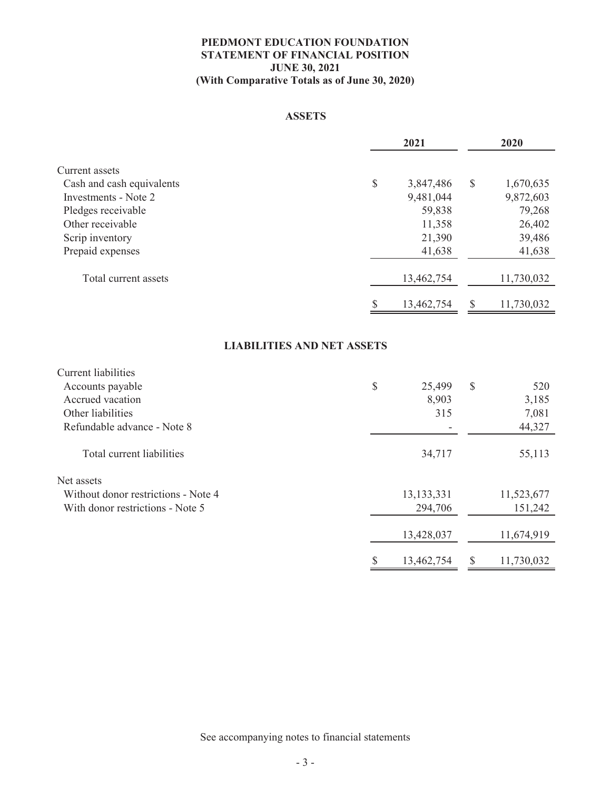## **PIEDMONT EDUCATION FOUNDATION STATEMENT OF FINANCIAL POSITION JUNE 30, 2021 (With Comparative Totals as of June 30, 2020)**

## **ASSETS**

|                           | 2021             |   | 2020       |
|---------------------------|------------------|---|------------|
| Current assets            |                  |   |            |
| Cash and cash equivalents | \$<br>3,847,486  | S | 1,670,635  |
| Investments - Note 2      | 9,481,044        |   | 9,872,603  |
| Pledges receivable        | 59,838           |   | 79,268     |
| Other receivable          | 11,358           |   | 26,402     |
| Scrip inventory           | 21,390           |   | 39,486     |
| Prepaid expenses          | 41,638           |   | 41,638     |
| Total current assets      | 13,462,754       |   | 11,730,032 |
|                           | \$<br>13,462,754 | S | 11,730,032 |

## **LIABILITIES AND NET ASSETS**

| <b>Current</b> liabilities          |              |                  |
|-------------------------------------|--------------|------------------|
| Accounts payable                    | \$<br>25,499 | \$<br>520        |
| Accrued vacation                    | 8,903        | 3,185            |
| Other liabilities                   | 315          | 7,081            |
| Refundable advance - Note 8         |              | 44,327           |
| Total current liabilities           | 34,717       | 55,113           |
| Net assets                          |              |                  |
| Without donor restrictions - Note 4 | 13, 133, 331 | 11,523,677       |
| With donor restrictions - Note 5    | 294,706      | 151,242          |
|                                     | 13,428,037   | 11,674,919       |
|                                     | 13,462,754   | \$<br>11,730,032 |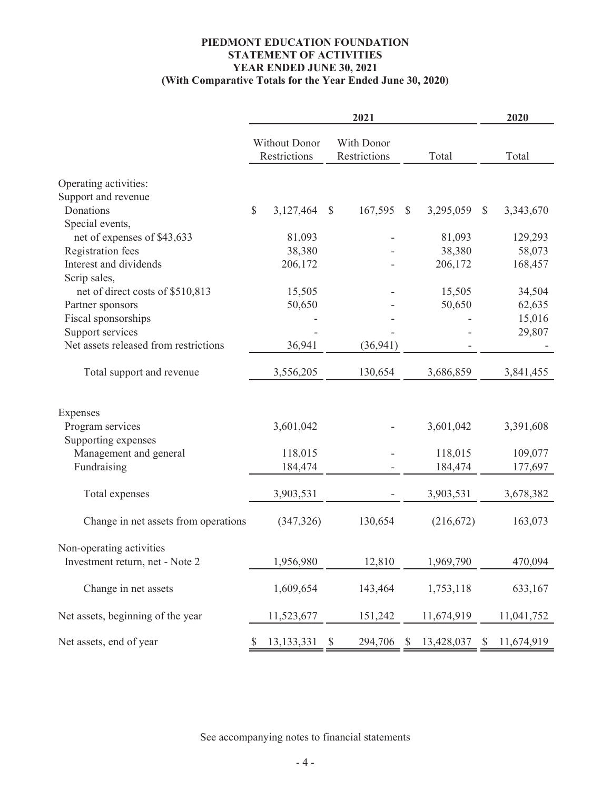## **PIEDMONT EDUCATION FOUNDATION STATEMENT OF ACTIVITIES YEAR ENDED JUNE 30, 2021 (With Comparative Totals for the Year Ended June 30, 2020)**

|                                               |                                      | 2020                                 |                  |                            |
|-----------------------------------------------|--------------------------------------|--------------------------------------|------------------|----------------------------|
|                                               | <b>Without Donor</b><br>Restrictions | With Donor<br>Restrictions           | Total            | Total                      |
| Operating activities:                         |                                      |                                      |                  |                            |
| Support and revenue                           |                                      |                                      |                  |                            |
| Donations                                     | $\mathbb{S}$<br>3,127,464            | 167,595<br>$\mathcal{S}$             | \$<br>3,295,059  | $\mathcal{S}$<br>3,343,670 |
| Special events,                               |                                      |                                      |                  |                            |
| net of expenses of \$43,633                   | 81,093                               |                                      | 81,093           | 129,293                    |
| <b>Registration</b> fees                      | 38,380                               |                                      | 38,380           | 58,073                     |
| Interest and dividends                        | 206,172                              |                                      | 206,172          | 168,457                    |
| Scrip sales,                                  |                                      |                                      |                  |                            |
| net of direct costs of \$510,813              | 15,505                               |                                      | 15,505           | 34,504                     |
| Partner sponsors                              | 50,650                               |                                      | 50,650           | 62,635                     |
| Fiscal sponsorships                           |                                      |                                      |                  | 15,016                     |
| Support services                              |                                      |                                      |                  | 29,807                     |
| Net assets released from restrictions         | 36,941                               | (36, 941)                            |                  |                            |
| Total support and revenue                     | 3,556,205                            | 130,654                              | 3,686,859        | 3,841,455                  |
|                                               |                                      |                                      |                  |                            |
| Expenses                                      |                                      |                                      |                  |                            |
| Program services                              | 3,601,042                            |                                      | 3,601,042        | 3,391,608                  |
| Supporting expenses<br>Management and general | 118,015                              |                                      | 118,015          | 109,077                    |
| Fundraising                                   | 184,474                              |                                      |                  |                            |
|                                               |                                      |                                      | 184,474          | 177,697                    |
| Total expenses                                | 3,903,531                            |                                      | 3,903,531        | 3,678,382                  |
| Change in net assets from operations          | (347, 326)                           | 130,654                              | (216, 672)       | 163,073                    |
| Non-operating activities                      |                                      |                                      |                  |                            |
| Investment return, net - Note 2               | 1,956,980                            | 12,810                               | 1,969,790        | 470,094                    |
| Change in net assets                          | 1,609,654                            | 143,464                              | 1,753,118        | 633,167                    |
| Net assets, beginning of the year             | 11,523,677                           | 151,242                              | 11,674,919       | 11,041,752                 |
| Net assets, end of year                       | \$<br>13, 133, 331                   | 294,706<br>$\boldsymbol{\mathsf{S}}$ | 13,428,037<br>\$ | 11,674,919<br>\$           |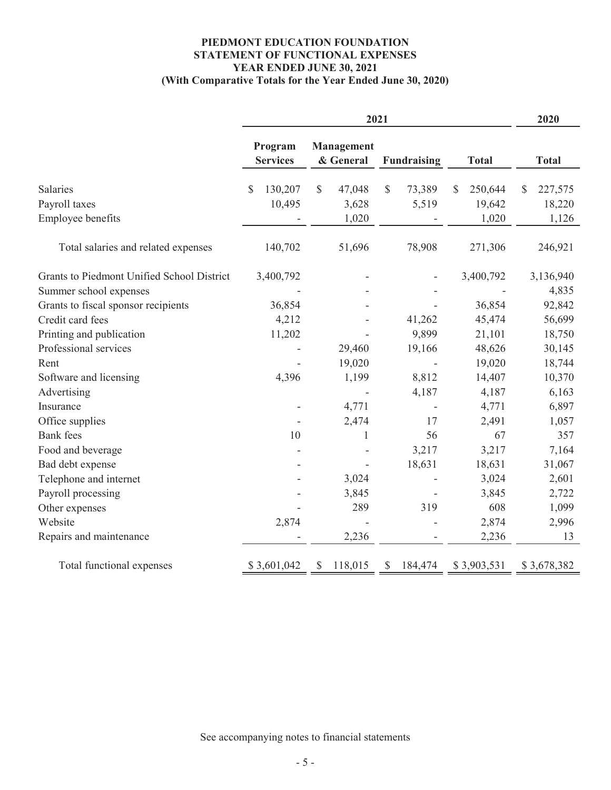## **PIEDMONT EDUCATION FOUNDATION STATEMENT OF FUNCTIONAL EXPENSES YEAR ENDED JUNE 30, 2021 (With Comparative Totals for the Year Ended June 30, 2020)**

|                                            | 2021                       |                         |                    |               | 2020          |
|--------------------------------------------|----------------------------|-------------------------|--------------------|---------------|---------------|
|                                            | Program<br><b>Services</b> | Management<br>& General | <b>Fundraising</b> | <b>Total</b>  | <b>Total</b>  |
| <b>Salaries</b>                            | 130,207<br>\$              | $\mathbb{S}$<br>47,048  | \$<br>73,389       | \$<br>250,644 | 227,575<br>\$ |
| Payroll taxes                              | 10,495                     | 3,628                   | 5,519              | 19,642        | 18,220        |
| Employee benefits                          |                            | 1,020                   |                    | 1,020         | 1,126         |
| Total salaries and related expenses        | 140,702                    | 51,696                  | 78,908             | 271,306       | 246,921       |
| Grants to Piedmont Unified School District | 3,400,792                  |                         |                    | 3,400,792     | 3,136,940     |
| Summer school expenses                     |                            |                         |                    |               | 4,835         |
| Grants to fiscal sponsor recipients        | 36,854                     |                         |                    | 36,854        | 92,842        |
| Credit card fees                           | 4,212                      |                         | 41,262             | 45,474        | 56,699        |
| Printing and publication                   | 11,202                     |                         | 9,899              | 21,101        | 18,750        |
| Professional services                      |                            | 29,460                  | 19,166             | 48,626        | 30,145        |
| Rent                                       |                            | 19,020                  |                    | 19,020        | 18,744        |
| Software and licensing                     | 4,396                      | 1,199                   | 8,812              | 14,407        | 10,370        |
| Advertising                                |                            |                         | 4,187              | 4,187         | 6,163         |
| Insurance                                  |                            | 4,771                   |                    | 4,771         | 6,897         |
| Office supplies                            |                            | 2,474                   | 17                 | 2,491         | 1,057         |
| <b>Bank</b> fees                           | 10                         | $\mathbf{1}$            | 56                 | 67            | 357           |
| Food and beverage                          |                            |                         | 3,217              | 3,217         | 7,164         |
| Bad debt expense                           |                            |                         | 18,631             | 18,631        | 31,067        |
| Telephone and internet                     |                            | 3,024                   |                    | 3,024         | 2,601         |
| Payroll processing                         |                            | 3,845                   |                    | 3,845         | 2,722         |
| Other expenses                             |                            | 289                     | 319                | 608           | 1,099         |
| Website                                    | 2,874                      |                         |                    | 2,874         | 2,996         |
| Repairs and maintenance                    |                            | 2,236                   |                    | 2,236         | 13            |
| Total functional expenses                  | \$3,601,042                | 118,015<br>\$           | 184,474<br>\$      | \$3,903,531   | \$3,678,382   |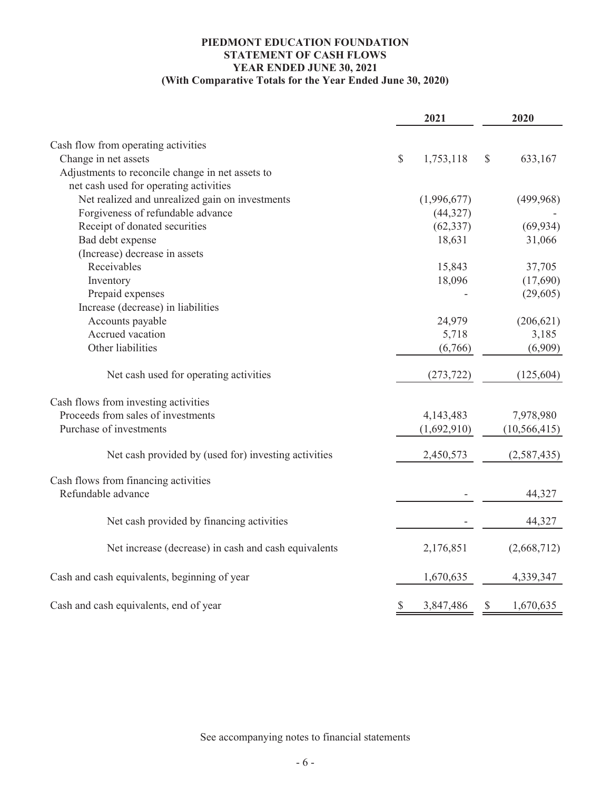## **PIEDMONT EDUCATION FOUNDATION STATEMENT OF CASH FLOWS YEAR ENDED JUNE 30, 2021 (With Comparative Totals for the Year Ended June 30, 2020)**

|                                                      | 2021            |              | 2020           |
|------------------------------------------------------|-----------------|--------------|----------------|
| Cash flow from operating activities                  |                 |              |                |
| Change in net assets                                 | \$<br>1,753,118 | $\mathbb{S}$ | 633,167        |
| Adjustments to reconcile change in net assets to     |                 |              |                |
| net cash used for operating activities               |                 |              |                |
| Net realized and unrealized gain on investments      | (1,996,677)     |              | (499,968)      |
| Forgiveness of refundable advance                    | (44,327)        |              |                |
| Receipt of donated securities                        | (62, 337)       |              | (69, 934)      |
| Bad debt expense                                     | 18,631          |              | 31,066         |
| (Increase) decrease in assets                        |                 |              |                |
| Receivables                                          | 15,843          |              | 37,705         |
| Inventory                                            | 18,096          |              | (17,690)       |
| Prepaid expenses                                     |                 |              | (29,605)       |
| Increase (decrease) in liabilities                   |                 |              |                |
| Accounts payable                                     | 24,979          |              | (206, 621)     |
| Accrued vacation                                     | 5,718           |              | 3,185          |
| Other liabilities                                    | (6,766)         |              | (6,909)        |
| Net cash used for operating activities               | (273, 722)      |              | (125, 604)     |
| Cash flows from investing activities                 |                 |              |                |
| Proceeds from sales of investments                   | 4,143,483       |              | 7,978,980      |
| Purchase of investments                              | (1,692,910)     |              | (10, 566, 415) |
| Net cash provided by (used for) investing activities | 2,450,573       |              | (2,587,435)    |
| Cash flows from financing activities                 |                 |              |                |
| Refundable advance                                   |                 |              | 44,327         |
| Net cash provided by financing activities            |                 |              | 44,327         |
| Net increase (decrease) in cash and cash equivalents | 2,176,851       |              | (2,668,712)    |
| Cash and cash equivalents, beginning of year         | 1,670,635       |              | 4,339,347      |
| Cash and cash equivalents, end of year               | \$<br>3,847,486 | $\$$         | 1,670,635      |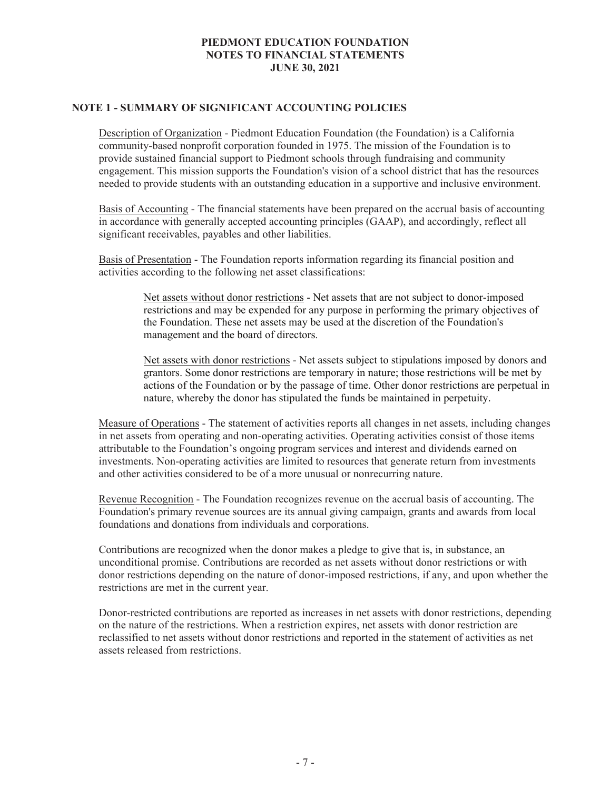## **NOTE 1 - SUMMARY OF SIGNIFICANT ACCOUNTING POLICIES**

Description of Organization - Piedmont Education Foundation (the Foundation) is a California community-based nonprofit corporation founded in 1975. The mission of the Foundation is to provide sustained financial support to Piedmont schools through fundraising and community engagement. This mission supports the Foundation's vision of a school district that has the resources needed to provide students with an outstanding education in a supportive and inclusive environment.

Basis of Accounting - The financial statements have been prepared on the accrual basis of accounting in accordance with generally accepted accounting principles (GAAP), and accordingly, reflect all significant receivables, payables and other liabilities.

Basis of Presentation - The Foundation reports information regarding its financial position and activities according to the following net asset classifications:

> Net assets without donor restrictions - Net assets that are not subject to donor-imposed restrictions and may be expended for any purpose in performing the primary objectives of the Foundation. These net assets may be used at the discretion of the Foundation's management and the board of directors.

Net assets with donor restrictions - Net assets subject to stipulations imposed by donors and grantors. Some donor restrictions are temporary in nature; those restrictions will be met by actions of the Foundation or by the passage of time. Other donor restrictions are perpetual in nature, whereby the donor has stipulated the funds be maintained in perpetuity.

Measure of Operations - The statement of activities reports all changes in net assets, including changes in net assets from operating and non-operating activities. Operating activities consist of those items attributable to the Foundation's ongoing program services and interest and dividends earned on investments. Non-operating activities are limited to resources that generate return from investments and other activities considered to be of a more unusual or nonrecurring nature.

Revenue Recognition - The Foundation recognizes revenue on the accrual basis of accounting. The Foundation's primary revenue sources are its annual giving campaign, grants and awards from local foundations and donations from individuals and corporations.

Contributions are recognized when the donor makes a pledge to give that is, in substance, an unconditional promise. Contributions are recorded as net assets without donor restrictions or with donor restrictions depending on the nature of donor-imposed restrictions, if any, and upon whether the restrictions are met in the current year.

Donor-restricted contributions are reported as increases in net assets with donor restrictions, depending on the nature of the restrictions. When a restriction expires, net assets with donor restriction are reclassified to net assets without donor restrictions and reported in the statement of activities as net assets released from restrictions.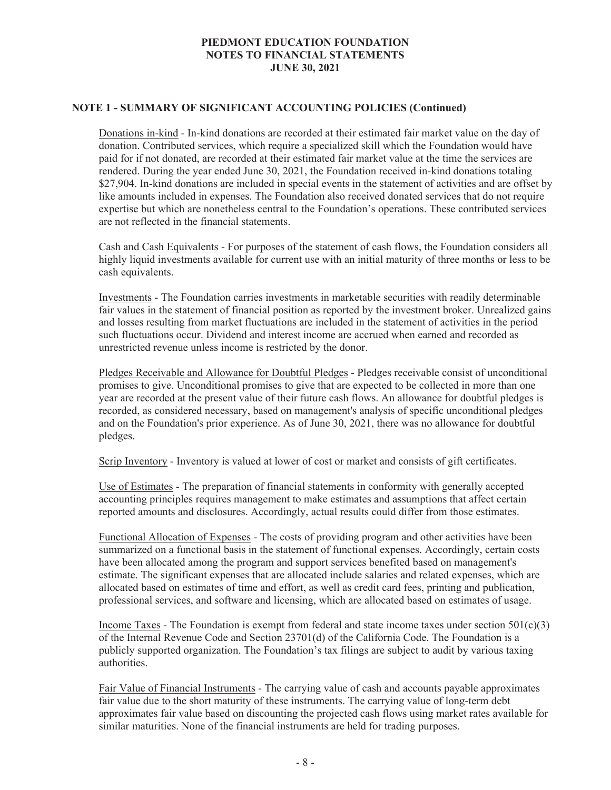## **NOTE 1 - SUMMARY OF SIGNIFICANT ACCOUNTING POLICIES (Continued)**

Donations in-kind - In-kind donations are recorded at their estimated fair market value on the day of donation. Contributed services, which require a specialized skill which the Foundation would have paid for if not donated, are recorded at their estimated fair market value at the time the services are rendered. During the year ended June 30, 2021, the Foundation received in-kind donations totaling \$27,904. In-kind donations are included in special events in the statement of activities and are offset by like amounts included in expenses. The Foundation also received donated services that do not require expertise but which are nonetheless central to the Foundation's operations. These contributed services are not reflected in the financial statements.

Cash and Cash Equivalents - For purposes of the statement of cash flows, the Foundation considers all highly liquid investments available for current use with an initial maturity of three months or less to be cash equivalents.

Investments - The Foundation carries investments in marketable securities with readily determinable fair values in the statement of financial position as reported by the investment broker. Unrealized gains and losses resulting from market fluctuations are included in the statement of activities in the period such fluctuations occur. Dividend and interest income are accrued when earned and recorded as unrestricted revenue unless income is restricted by the donor.

Pledges Receivable and Allowance for Doubtful Pledges - Pledges receivable consist of unconditional promises to give. Unconditional promises to give that are expected to be collected in more than one year are recorded at the present value of their future cash flows. An allowance for doubtful pledges is recorded, as considered necessary, based on management's analysis of specific unconditional pledges and on the Foundation's prior experience. As of June 30, 2021, there was no allowance for doubtful pledges.

Scrip Inventory - Inventory is valued at lower of cost or market and consists of gift certificates.

Use of Estimates - The preparation of financial statements in conformity with generally accepted accounting principles requires management to make estimates and assumptions that affect certain reported amounts and disclosures. Accordingly, actual results could differ from those estimates.

Functional Allocation of Expenses - The costs of providing program and other activities have been summarized on a functional basis in the statement of functional expenses. Accordingly, certain costs have been allocated among the program and support services benefited based on management's estimate. The significant expenses that are allocated include salaries and related expenses, which are allocated based on estimates of time and effort, as well as credit card fees, printing and publication, professional services, and software and licensing, which are allocated based on estimates of usage.

Income Taxes - The Foundation is exempt from federal and state income taxes under section  $501(c)(3)$ of the Internal Revenue Code and Section 23701(d) of the California Code. The Foundation is a publicly supported organization. The Foundation's tax filings are subject to audit by various taxing authorities.

Fair Value of Financial Instruments - The carrying value of cash and accounts payable approximates fair value due to the short maturity of these instruments. The carrying value of long-term debt approximates fair value based on discounting the projected cash flows using market rates available for similar maturities. None of the financial instruments are held for trading purposes.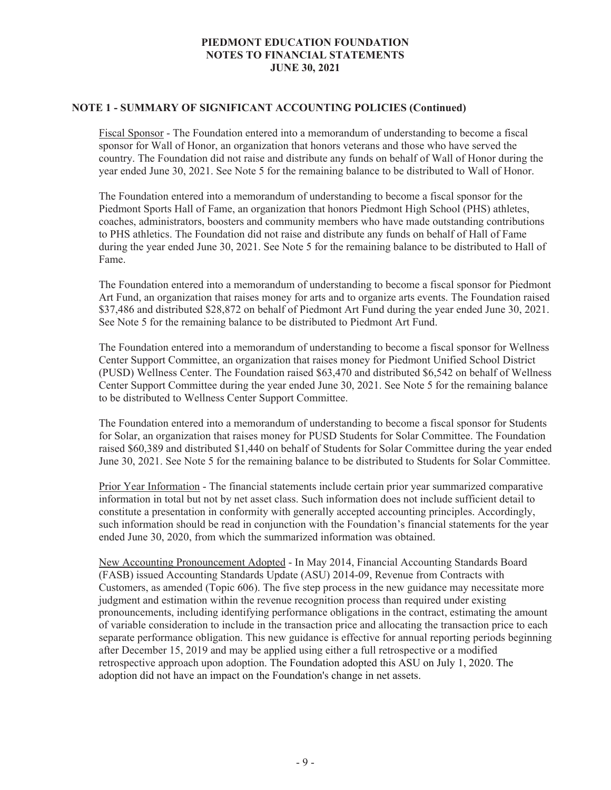### **NOTE 1 - SUMMARY OF SIGNIFICANT ACCOUNTING POLICIES (Continued)**

Fiscal Sponsor - The Foundation entered into a memorandum of understanding to become a fiscal sponsor for Wall of Honor, an organization that honors veterans and those who have served the country. The Foundation did not raise and distribute any funds on behalf of Wall of Honor during the year ended June 30, 2021. See Note 5 for the remaining balance to be distributed to Wall of Honor.

The Foundation entered into a memorandum of understanding to become a fiscal sponsor for the Piedmont Sports Hall of Fame, an organization that honors Piedmont High School (PHS) athletes, coaches, administrators, boosters and community members who have made outstanding contributions to PHS athletics. The Foundation did not raise and distribute any funds on behalf of Hall of Fame during the year ended June 30, 2021. See Note 5 for the remaining balance to be distributed to Hall of Fame.

The Foundation entered into a memorandum of understanding to become a fiscal sponsor for Piedmont Art Fund, an organization that raises money for arts and to organize arts events. The Foundation raised \$37,486 and distributed \$28,872 on behalf of Piedmont Art Fund during the year ended June 30, 2021. See Note 5 for the remaining balance to be distributed to Piedmont Art Fund.

The Foundation entered into a memorandum of understanding to become a fiscal sponsor for Wellness Center Support Committee, an organization that raises money for Piedmont Unified School District (PUSD) Wellness Center. The Foundation raised \$63,470 and distributed \$6,542 on behalf of Wellness Center Support Committee during the year ended June 30, 2021. See Note 5 for the remaining balance to be distributed to Wellness Center Support Committee.

The Foundation entered into a memorandum of understanding to become a fiscal sponsor for Students for Solar, an organization that raises money for PUSD Students for Solar Committee. The Foundation raised \$60,389 and distributed \$1,440 on behalf of Students for Solar Committee during the year ended June 30, 2021. See Note 5 for the remaining balance to be distributed to Students for Solar Committee.

Prior Year Information - The financial statements include certain prior year summarized comparative information in total but not by net asset class. Such information does not include sufficient detail to constitute a presentation in conformity with generally accepted accounting principles. Accordingly, such information should be read in conjunction with the Foundation's financial statements for the year ended June 30, 2020, from which the summarized information was obtained.

New Accounting Pronouncement Adopted - In May 2014, Financial Accounting Standards Board (FASB) issued Accounting Standards Update (ASU) 2014-09, Revenue from Contracts with Customers, as amended (Topic 606). The five step process in the new guidance may necessitate more judgment and estimation within the revenue recognition process than required under existing pronouncements, including identifying performance obligations in the contract, estimating the amount of variable consideration to include in the transaction price and allocating the transaction price to each separate performance obligation. This new guidance is effective for annual reporting periods beginning after December 15, 2019 and may be applied using either a full retrospective or a modified retrospective approach upon adoption. The Foundation adopted this ASU on July 1, 2020. The adoption did not have an impact on the Foundation's change in net assets.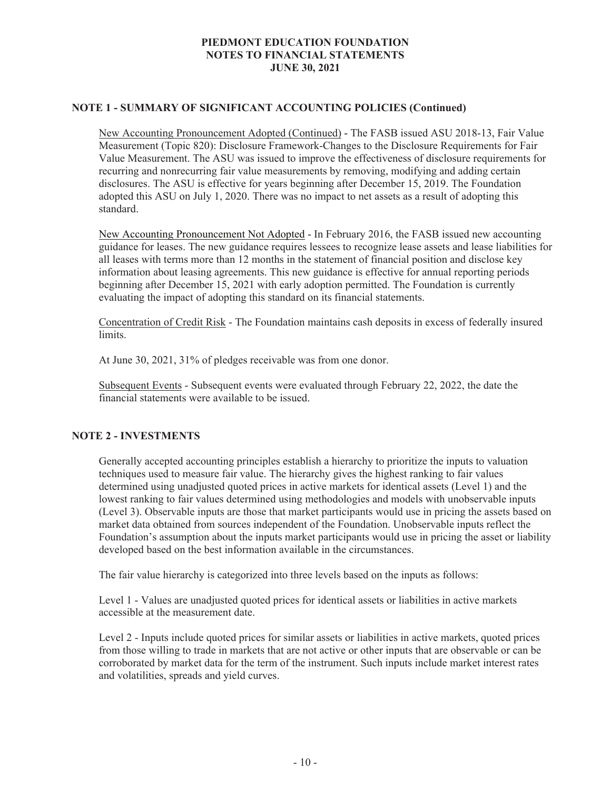### **NOTE 1 - SUMMARY OF SIGNIFICANT ACCOUNTING POLICIES (Continued)**

New Accounting Pronouncement Adopted (Continued) - The FASB issued ASU 2018-13, Fair Value Measurement (Topic 820): Disclosure Framework-Changes to the Disclosure Requirements for Fair Value Measurement. The ASU was issued to improve the effectiveness of disclosure requirements for recurring and nonrecurring fair value measurements by removing, modifying and adding certain disclosures. The ASU is effective for years beginning after December 15, 2019. The Foundation adopted this ASU on July 1, 2020. There was no impact to net assets as a result of adopting this standard.

New Accounting Pronouncement Not Adopted - In February 2016, the FASB issued new accounting guidance for leases. The new guidance requires lessees to recognize lease assets and lease liabilities for all leases with terms more than 12 months in the statement of financial position and disclose key information about leasing agreements. This new guidance is effective for annual reporting periods beginning after December 15, 2021 with early adoption permitted. The Foundation is currently evaluating the impact of adopting this standard on its financial statements.

Concentration of Credit Risk - The Foundation maintains cash deposits in excess of federally insured limits.

At June 30, 2021, 31% of pledges receivable was from one donor.

Subsequent Events - Subsequent events were evaluated through February 22, 2022, the date the financial statements were available to be issued.

## **NOTE 2 - INVESTMENTS**

Generally accepted accounting principles establish a hierarchy to prioritize the inputs to valuation techniques used to measure fair value. The hierarchy gives the highest ranking to fair values determined using unadjusted quoted prices in active markets for identical assets (Level 1) and the lowest ranking to fair values determined using methodologies and models with unobservable inputs (Level 3). Observable inputs are those that market participants would use in pricing the assets based on market data obtained from sources independent of the Foundation. Unobservable inputs reflect the Foundation's assumption about the inputs market participants would use in pricing the asset or liability developed based on the best information available in the circumstances.

The fair value hierarchy is categorized into three levels based on the inputs as follows:

Level 1 - Values are unadjusted quoted prices for identical assets or liabilities in active markets accessible at the measurement date.

Level 2 - Inputs include quoted prices for similar assets or liabilities in active markets, quoted prices from those willing to trade in markets that are not active or other inputs that are observable or can be corroborated by market data for the term of the instrument. Such inputs include market interest rates and volatilities, spreads and yield curves.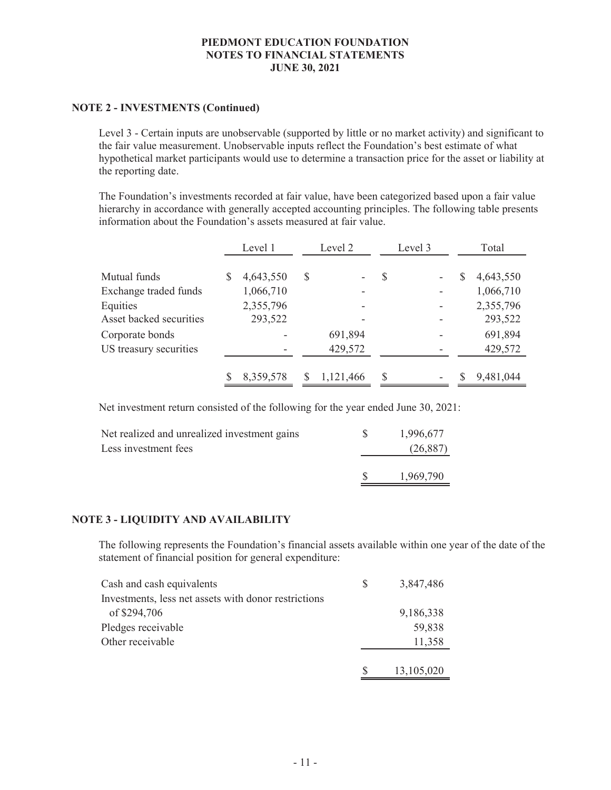#### **NOTE 2 - INVESTMENTS (Continued)**

Level 3 - Certain inputs are unobservable (supported by little or no market activity) and significant to the fair value measurement. Unobservable inputs reflect the Foundation's best estimate of what hypothetical market participants would use to determine a transaction price for the asset or liability at the reporting date.

The Foundation's investments recorded at fair value, have been categorized based upon a fair value hierarchy in accordance with generally accepted accounting principles. The following table presents information about the Foundation's assets measured at fair value.

|                         | Level 1         | Level 2   |   | Level 3 |   | Total     |
|-------------------------|-----------------|-----------|---|---------|---|-----------|
|                         |                 |           |   |         |   |           |
| Mutual funds            | \$<br>4,643,550 | \$        | S |         | S | 4,643,550 |
| Exchange traded funds   | 1,066,710       |           |   |         |   | 1,066,710 |
| Equities                | 2,355,796       |           |   |         |   | 2,355,796 |
| Asset backed securities | 293,522         |           |   |         |   | 293,522   |
| Corporate bonds         |                 | 691,894   |   |         |   | 691,894   |
| US treasury securities  |                 | 429,572   |   |         |   | 429,572   |
|                         |                 |           |   |         |   |           |
|                         | 8,359,578       | 1,121,466 | S |         |   | 9,481,044 |

Net investment return consisted of the following for the year ended June 30, 2021:

| Net realized and unrealized investment gains | 1,996,677 |
|----------------------------------------------|-----------|
| Less investment fees                         | (26,887)  |
|                                              |           |
|                                              | 1,969,790 |

### **NOTE 3 - LIQUIDITY AND AVAILABILITY**

The following represents the Foundation's financial assets available within one year of the date of the statement of financial position for general expenditure:

| Cash and cash equivalents                            | <sup>S</sup> | 3,847,486  |
|------------------------------------------------------|--------------|------------|
| Investments, less net assets with donor restrictions |              |            |
| of \$294,706                                         |              | 9,186,338  |
| Pledges receivable                                   |              | 59,838     |
| Other receivable                                     |              | 11,358     |
|                                                      |              |            |
|                                                      |              | 13,105,020 |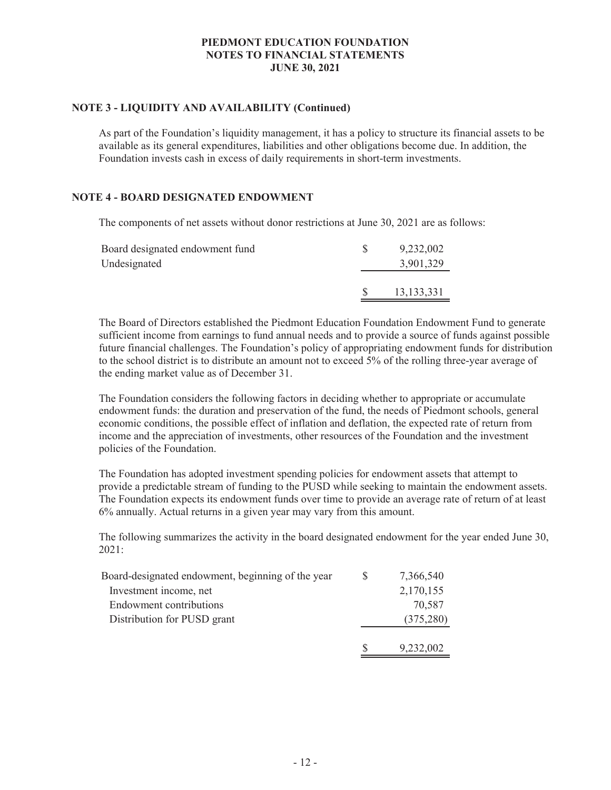## **NOTE 3 - LIQUIDITY AND AVAILABILITY (Continued)**

As part of the Foundation's liquidity management, it has a policy to structure its financial assets to be available as its general expenditures, liabilities and other obligations become due. In addition, the Foundation invests cash in excess of daily requirements in short-term investments.

## **NOTE 4 - BOARD DESIGNATED ENDOWMENT**

The components of net assets without donor restrictions at June 30, 2021 are as follows:

| Board designated endowment fund | 9,232,002    |
|---------------------------------|--------------|
| Undesignated                    | 3,901,329    |
|                                 |              |
|                                 | 13, 133, 331 |

The Board of Directors established the Piedmont Education Foundation Endowment Fund to generate sufficient income from earnings to fund annual needs and to provide a source of funds against possible future financial challenges. The Foundation's policy of appropriating endowment funds for distribution to the school district is to distribute an amount not to exceed 5% of the rolling three-year average of the ending market value as of December 31.

The Foundation considers the following factors in deciding whether to appropriate or accumulate endowment funds: the duration and preservation of the fund, the needs of Piedmont schools, general economic conditions, the possible effect of inflation and deflation, the expected rate of return from income and the appreciation of investments, other resources of the Foundation and the investment policies of the Foundation.

The Foundation has adopted investment spending policies for endowment assets that attempt to provide a predictable stream of funding to the PUSD while seeking to maintain the endowment assets. The Foundation expects its endowment funds over time to provide an average rate of return of at least 6% annually. Actual returns in a given year may vary from this amount.

The following summarizes the activity in the board designated endowment for the year ended June 30, 2021:

| Board-designated endowment, beginning of the year | 7,366,540  |
|---------------------------------------------------|------------|
| Investment income, net                            | 2,170,155  |
| Endowment contributions                           | 70,587     |
| Distribution for PUSD grant                       | (375, 280) |
|                                                   |            |
|                                                   | 9,232,002  |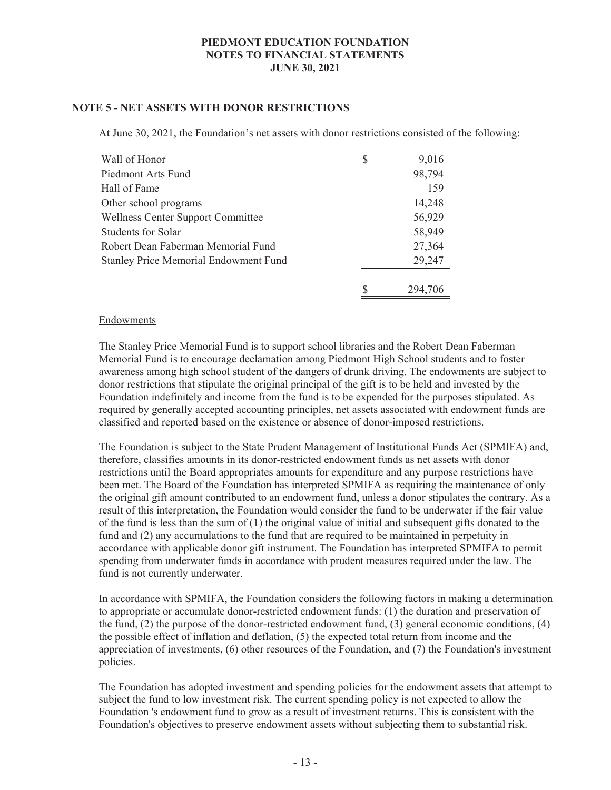#### **NOTE 5 - NET ASSETS WITH DONOR RESTRICTIONS**

At June 30, 2021, the Foundation's net assets with donor restrictions consisted of the following:

| Wall of Honor                                | \$ | 9,016   |
|----------------------------------------------|----|---------|
| Piedmont Arts Fund                           |    | 98,794  |
| Hall of Fame                                 |    | 159     |
| Other school programs                        |    | 14,248  |
| <b>Wellness Center Support Committee</b>     |    | 56,929  |
| <b>Students for Solar</b>                    |    | 58,949  |
| Robert Dean Faberman Memorial Fund           |    | 27,364  |
| <b>Stanley Price Memorial Endowment Fund</b> |    | 29,247  |
|                                              | S  | 294,706 |
|                                              |    |         |

#### Endowments

The Stanley Price Memorial Fund is to support school libraries and the Robert Dean Faberman Memorial Fund is to encourage declamation among Piedmont High School students and to foster awareness among high school student of the dangers of drunk driving. The endowments are subject to donor restrictions that stipulate the original principal of the gift is to be held and invested by the Foundation indefinitely and income from the fund is to be expended for the purposes stipulated. As required by generally accepted accounting principles, net assets associated with endowment funds are classified and reported based on the existence or absence of donor-imposed restrictions.

The Foundation is subject to the State Prudent Management of Institutional Funds Act (SPMIFA) and, therefore, classifies amounts in its donor-restricted endowment funds as net assets with donor restrictions until the Board appropriates amounts for expenditure and any purpose restrictions have been met. The Board of the Foundation has interpreted SPMIFA as requiring the maintenance of only the original gift amount contributed to an endowment fund, unless a donor stipulates the contrary. As a result of this interpretation, the Foundation would consider the fund to be underwater if the fair value of the fund is less than the sum of (1) the original value of initial and subsequent gifts donated to the fund and (2) any accumulations to the fund that are required to be maintained in perpetuity in accordance with applicable donor gift instrument. The Foundation has interpreted SPMIFA to permit spending from underwater funds in accordance with prudent measures required under the law. The fund is not currently underwater.

In accordance with SPMIFA, the Foundation considers the following factors in making a determination to appropriate or accumulate donor-restricted endowment funds: (1) the duration and preservation of the fund, (2) the purpose of the donor-restricted endowment fund, (3) general economic conditions, (4) the possible effect of inflation and deflation, (5) the expected total return from income and the appreciation of investments, (6) other resources of the Foundation, and (7) the Foundation's investment policies.

The Foundation has adopted investment and spending policies for the endowment assets that attempt to subject the fund to low investment risk. The current spending policy is not expected to allow the Foundation 's endowment fund to grow as a result of investment returns. This is consistent with the Foundation's objectives to preserve endowment assets without subjecting them to substantial risk.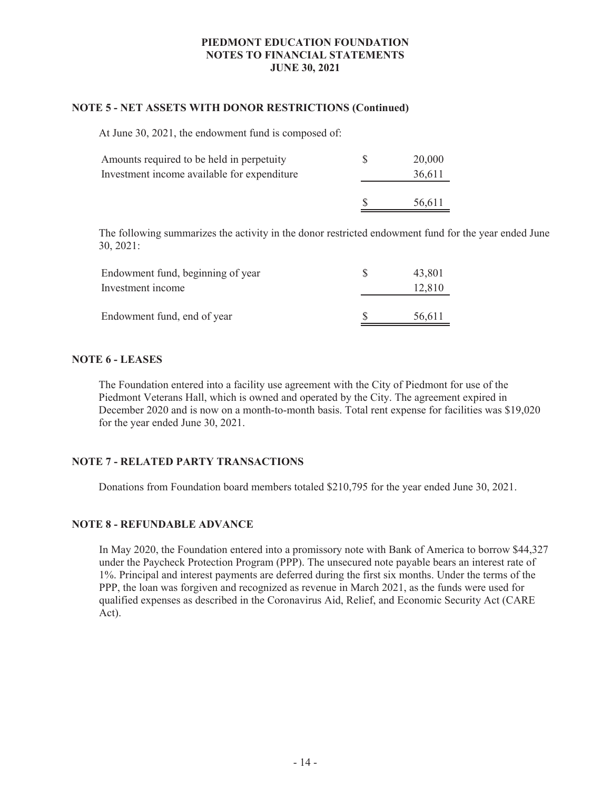#### **NOTE 5 - NET ASSETS WITH DONOR RESTRICTIONS (Continued)**

At June 30, 2021, the endowment fund is composed of:

| Amounts required to be held in perpetuity<br>Investment income available for expenditure | 20,000<br>36,611 |
|------------------------------------------------------------------------------------------|------------------|
|                                                                                          | 56,611           |

The following summarizes the activity in the donor restricted endowment fund for the year ended June 30, 2021:

| Endowment fund, beginning of year<br>Investment income | 43,801<br>12,810 |
|--------------------------------------------------------|------------------|
| Endowment fund, end of year                            | 56,611           |

#### **NOTE 6 - LEASES**

The Foundation entered into a facility use agreement with the City of Piedmont for use of the Piedmont Veterans Hall, which is owned and operated by the City. The agreement expired in December 2020 and is now on a month-to-month basis. Total rent expense for facilities was \$19,020 for the year ended June 30, 2021.

## **NOTE 7 - RELATED PARTY TRANSACTIONS**

Donations from Foundation board members totaled \$210,795 for the year ended June 30, 2021.

#### **NOTE 8 - REFUNDABLE ADVANCE**

In May 2020, the Foundation entered into a promissory note with Bank of America to borrow \$44,327 under the Paycheck Protection Program (PPP). The unsecured note payable bears an interest rate of 1%. Principal and interest payments are deferred during the first six months. Under the terms of the PPP, the loan was forgiven and recognized as revenue in March 2021, as the funds were used for qualified expenses as described in the Coronavirus Aid, Relief, and Economic Security Act (CARE Act).